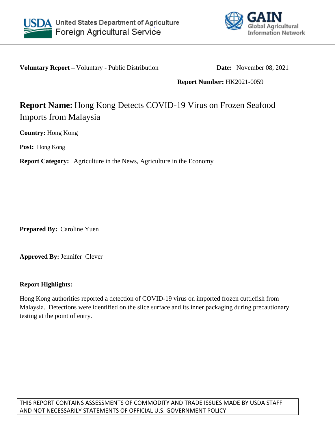



**Voluntary Report** – Voluntary - Public Distribution **Date:** November 08, 2021

**Report Number:** HK2021-0059

## **Report Name:** Hong Kong Detects COVID-19 Virus on Frozen Seafood Imports from Malaysia

**Country:** Hong Kong

**Post:** Hong Kong

**Report Category:** Agriculture in the News, Agriculture in the Economy

**Prepared By:** Caroline Yuen

**Approved By:** Jennifer Clever

## **Report Highlights:**

Hong Kong authorities reported a detection of COVID-19 virus on imported frozen cuttlefish from Malaysia. Detections were identified on the slice surface and its inner packaging during precautionary testing at the point of entry.

THIS REPORT CONTAINS ASSESSMENTS OF COMMODITY AND TRADE ISSUES MADE BY USDA STAFF AND NOT NECESSARILY STATEMENTS OF OFFICIAL U.S. GOVERNMENT POLICY